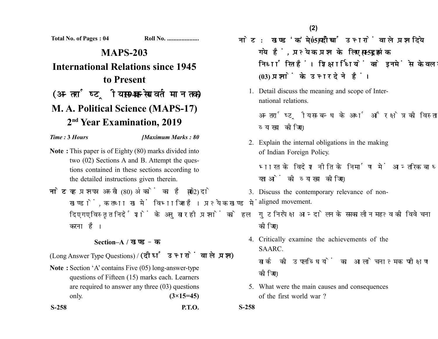**Total No. of Pages : 04 Roll No. ....................**

## **MAPS-203 International Relations since 1945 to Present** (अन्तर्राष्ट्रीय सम्बन्ध 1945 से वर्तमान तक) **M. A. Political Science (MAPS-17) 2nd Year Examination, 2019**

## *Time :* **3** *Hours [Maximum Marks : 80*

- **Note :** This paper is of Eighty (80) marks divided into two (02) Sections A and B. Attempt the questions contained in these sections according to the detailed instructions given therein.
- नोट: यह प्रश्नपत्र अस्सी (80) अंकों का है जो दो (02) खण्डों. क तथा ख में विभाजित है। प्रत्येक खण्ड में दिए गए विस्तृत निर्देशों के अनुसार ही प्रश्नों को हल करना है।

## **Section–A /**

- (Long Answer Type Questions) / (दीर्घ उत्तरों वाले प्रश्न)
- **Note :** Section 'A' contains Five (05) long-answer-type questions of Fifteen (15) marks each. Learners are required to answer any three (03) questions only. **(3×15=45)**
- नोट: खण्ड 'क' में पाँच (05) दीर्घ उत्तरों वाले प्रश्न दिये गये हैं, प्रत्येक प्रश्न के लिए पन्दह (15) अंक निर्धारित हैं। शिक्षार्थियों को इनमें से केवल तीन **(03)** 
	- 1. Detail discuss the meaning and scope of International relations.

अन्तर्राष्टीय सम्बन्ध के अर्थ और क्षेत्र की विस्तार से व्याख्या कोजिए।

2. Explain the internal obligations in the making of Indian Foreign Policy.

भारत के विदेश नीति के निर्माण में आन्तरिक बाध यताओं की व्याख्या कोजिए।

3. Discuss the contemporary relevance of nonaligned movement.

गटनिरपेक्ष आन्दोलन के समकालीन महत्व की विवेचना कोजिए।

- 4. Critically examine the achievements of the SAARC. सार्क की उपलब्धियों का आलोचनात्मक परीक्षण कोजिए।
- 5. What were the main causes and consequences of the first world war ?

**S-258 P.T.O. S-258**